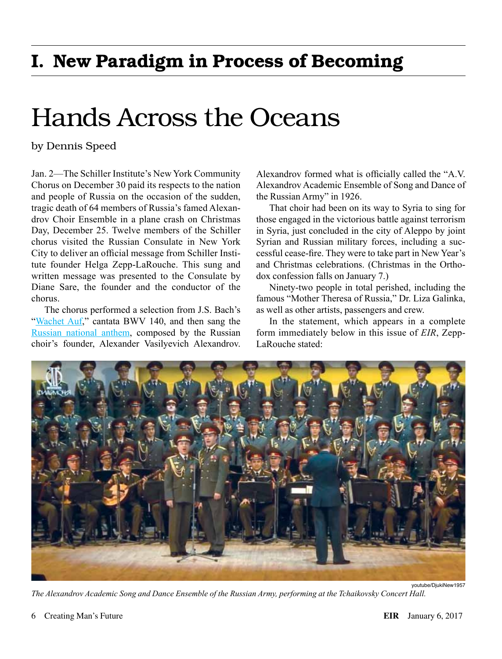## I. New Paradigm in Process of Becoming

## Hands Across the Oceans

## by Dennis Speed

Jan. 2—The Schiller Institute's New York Community Chorus on December 30 paid its respects to the nation and people of Russia on the occasion of the sudden, tragic death of 64 members of Russia's famed Alexandrov Choir Ensemble in a plane crash on Christmas Day, December 25. Twelve members of the Schiller chorus visited the Russian Consulate in New York City to deliver an official message from Schiller Institute founder Helga Zepp-LaRouche. This sung and written message was presented to the Consulate by Diane Sare, the founder and the conductor of the chorus.

The chorus performed a selection from J.S. Bach's "[Wachet Auf](https://www.youtube.com/watch?v=iwN7QXO2M-s)," cantata BWV 140, and then sang the [Russian national anthem,](https://www.youtube.com/watch?v=MWd7CIShVRE) composed by the Russian choir's founder, Alexander Vasilyevich Alexandrov.

Alexandrov formed what is officially called the "A.V. Alexandrov Academic Ensemble of Song and Dance of the Russian Army" in 1926.

That choir had been on its way to Syria to sing for those engaged in the victorious battle against terrorism in Syria, just concluded in the city of Aleppo by joint Syrian and Russian military forces, including a successful cease-fire. They were to take part in New Year's and Christmas celebrations. (Christmas in the Orthodox confession falls on January 7.)

Ninety-two people in total perished, including the famous "Mother Theresa of Russia," Dr. Liza Galinka, as well as other artists, passengers and crew.

In the statement, which appears in a complete form immediately below in this issue of *EIR*, Zepp-LaRouche stated:



*The Alexandrov Academic Song and Dance Ensemble of the Russian Army, performing at the Tchaikovsky Concert Hall.*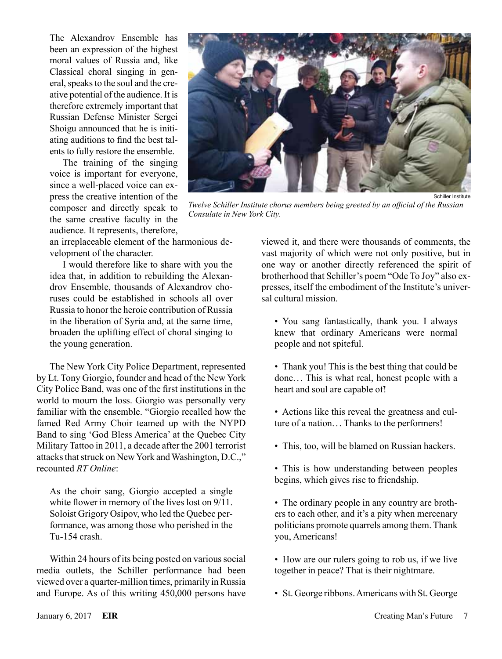The Alexandrov Ensemble has been an expression of the highest moral values of Russia and, like Classical choral singing in general, speaks to the soul and the creative potential of the audience. It is therefore extremely important that Russian Defense Minister Sergei Shoigu announced that he is initiating auditions to find the best talents to fully restore the ensemble.

The training of the singing voice is important for everyone, since a well-placed voice can express the creative intention of the composer and directly speak to the same creative faculty in the audience. It represents, therefore,



*Twelve Schiller Institute chorus members being greeted by an official of the Russian Consulate in New York City.*

an irreplaceable element of the harmonious development of the character.

I would therefore like to share with you the idea that, in addition to rebuilding the Alexandrov Ensemble, thousands of Alexandrov choruses could be established in schools all over Russia to honor the heroic contribution of Russia in the liberation of Syria and, at the same time, broaden the uplifting effect of choral singing to the young generation.

The New York City Police Department, represented by Lt. Tony Giorgio, founder and head of the New York City Police Band, was one of the first institutions in the world to mourn the loss. Giorgio was personally very familiar with the ensemble. "Giorgio recalled how the famed Red Army Choir teamed up with the NYPD Band to sing 'God Bless America' at the Quebec City Military Tattoo in 2011, a decade after the 2001 terrorist attacks that struck on New York and Washington, D.C.," recounted *RT Online*:

As the choir sang, Giorgio accepted a single white flower in memory of the lives lost on 9/11. Soloist Grigory Osipov, who led the Quebec performance, was among those who perished in the Tu-154 crash.

Within 24 hours of its being posted on various social media outlets, the Schiller performance had been viewed over a quarter-million times, primarily in Russia and Europe. As of this writing 450,000 persons have

viewed it, and there were thousands of comments, the vast majority of which were not only positive, but in one way or another directly referenced the spirit of brotherhood that Schiller's poem "Ode To Joy" also expresses, itself the embodiment of the Institute's universal cultural mission.

- You sang fantastically, thank you. I always knew that ordinary Americans were normal people and not spiteful.
- Thank you! This is the best thing that could be done. .. This is what real, honest people with a heart and soul are capable of!
- Actions like this reveal the greatness and culture of a nation.. . Thanks to the performers!
- This, too, will be blamed on Russian hackers.
- This is how understanding between peoples begins, which gives rise to friendship.
- The ordinary people in any country are brothers to each other, and it's a pity when mercenary politicians promote quarrels among them. Thank you, Americans!
- How are our rulers going to rob us, if we live together in peace? That is their nightmare.
- St. George ribbons. Americans with St. George